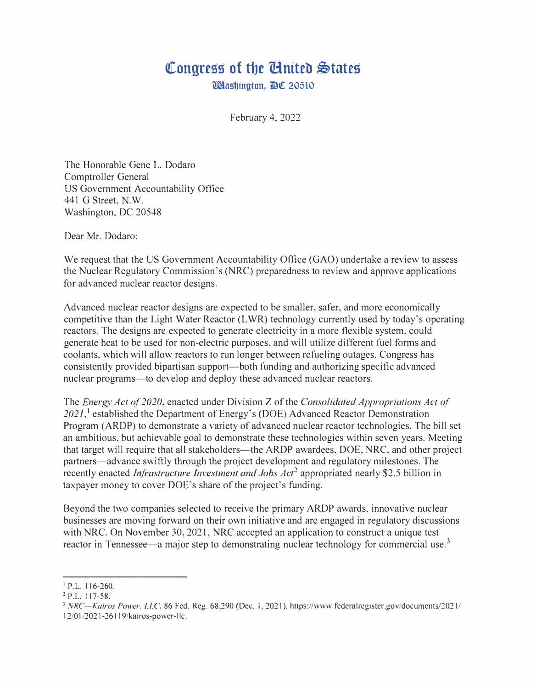## Congress of the **Chatter**  $\lessgtr$  at the **Chatter**

Washington, DC 20510

February 4. 2022

The Honorable Gene L. Dodaro Comptroller General US Government Accountability Office 441 G Street. N.W. Washington, DC 20548

Dear Mr. Dodaro:

We request that the US Government Accountability Office (GAO) undertake a review to assess the Nuclear Regulatory Commission's (NRC) preparedness to review and approve applications for advanced nuclear reactor designs.

Advanced nuclear reactor designs are expected to be smaller. safer, and more economically competitive than the Light Water Reactor (L WR) technology currently used by today's operating reactors. The designs arc expected to generate electricity in a more flexible system. could generate heat to be used for non-electric purposes, and will utilize different fuel forms and coolants, which will allow reactors to run longer between refueling outages. Congress has consistently provided bipartisan support—both funding and authorizing specific advanced nuclear programs-to develop and deploy these advanced nuclear reactors.

The *Energ<sup>y</sup>Ac! of 2020,* enacted under Division Z of the *Consolidated Approprialions Ac! of*  2021,<sup>1</sup> established the Department of Energy's (DOE) Advanced Reactor Demonstration Program (ARDP) to demonstrate a variety of advanced nuclear reactor technologies. The bill set an ambitious. but achievable goal to demonstrate these technologies within seven years. Meeting that target will require that all stakeholders—the ARDP awardees, DOE, NRC, and other project partners—advance swiftly through the project development and regulatory milestones. The recently enacted *Infrastructure Investment and Jobs Act*<sup>2</sup> appropriated nearly \$2.5 billion in taxpayer money to cover DOE's share of the project's funding.

Beyond the two companies selected to receive the primary ARDP awards. innovative nuclear businesses are moving forward on their own initiative and are engaged in regulatory discussions with NRC. On November 30, 2021, NRC accepted an application to construct a unique test reactor in Tennessee—a major step to demonstrating nuclear technology for commercial use.<sup>3</sup>

<sup>1</sup>P.L. 116-260.

<sup>2</sup> P.L. 117-58.

<sup>&</sup>lt;sup>3</sup> NRC-Kairos Power. LLC, 86 Fed. Reg. 68,290 (Dec. 1, 2021), https://www.federalregister.gov/documents/2021/ 12/01/2021-26119/kairos-power-llc.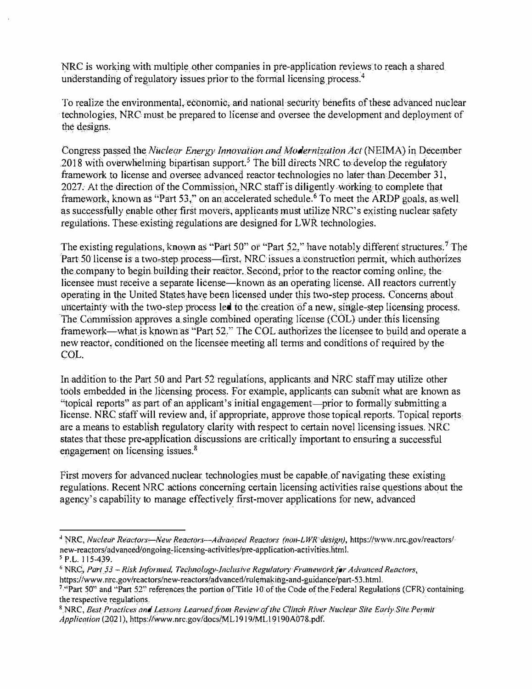NRC is working with multiple other companies in pre-application reviews to reach a shared understanding of regulatory issues prior to the formal licensing process.<sup>4</sup>

To realize the environmental, economic, and national security benefits of these advanced nuclear technologies, NRC must be prepared to license and oversee the development and deployment of the designs.

Congress passed the *Nuclear Energy Innovation and Modernization Act* (NEIMA) in December 2018 with overwhelming bipartisan support.<sup>5</sup> The bill directs NRC to develop the regulatory framework to license and oversee advanced reactor technologies no later than December 31, 2027. At the direction of the Commission, NRC staff is diligently working to complete that framework, known as "Part 53," on an accelerated schedule.<sup>6</sup> To meet the ARDP goals, as well as successfully enable other first movers, applicants must utilize NRC's existing nuclear safety regulations. These existing regulations are designed for L WR technologies.

The existing regulations, known as "Part 50" or "Part 52," have notably different structures.<sup>7</sup> The Part 50 license is a two-step process—first, NRC issues a construction permit, which authorizes the company to begin building their reactor. Second, prior to the reactor coming online, the licensee must receive a separate license—known as an operating license. All reactors currently operating in the United States have been licensed under this two-step process. Concerns about uncertainty with the two-step process led to the creation of a new, single-step licensing process. The Commission approves a single combined operating license (COL) under this licensing framework-what is known as "Part 52." The COL authorizes the licensee to build and operate a new reactor. conditioned on the licensee meeting all terms and conditions of required by the COL.

In addition to the Part 50 and Part 52 regulations, applicants and NRC staff may utilize other tools embedded in the licensing process. For example, applicants can submit what are known as "topical reports" as part of an applicant's initial engagement—prior to formally submitting a license. NRC staff will review and, if appropriate, approve those topical reports. Topical reports are a means to establish regulatory clarity with respect to certain novel licensing issues. NRC states that these pre-application discussions are critically important to ensuring a successful engagement on licensing issues.<sup>8</sup>

First movers for advanced nuclear technologies must be capable of navigating these existing regulations. Recent NRC actions concerning certain licensing activities raise questions about the agency's capability to manage effectively first-mover applications for new, advanced

<sup>&</sup>lt;sup>4</sup> NRC, *Nuclear Reactors—New Reactors—Advanced Reactors (non-LWR design), https://www.nrc.gov/reactors/*new-reactors/advanced/ongoing-licensing-activities/pre-application-activities.html.

**<sup>5</sup>**P.L. 115-439.

<sup>6</sup>NRC, *Part 53* - *Risk Informed, Technology-Inclusive Regulatory Framework for Advanced Reactors,* https://www.nrc.gov/reactors/new-reactorsladvanced/rulemakihg-and-guidance/part-53.html.

**<sup>7</sup>**·'Part 50" and "Part 52" references the portion ofTitle 10 ofthe Code of the Federal Regulations (CFR) containing the respective regulations.

<sup>8</sup>NRC, *Best Practices and lessons learned from Review of the Clinch River Nuclear Site Early Site Permit Application* (2021), https://www.nrc.gov/docs/ML19 l 9/MLI 9\ 90A078.pdf.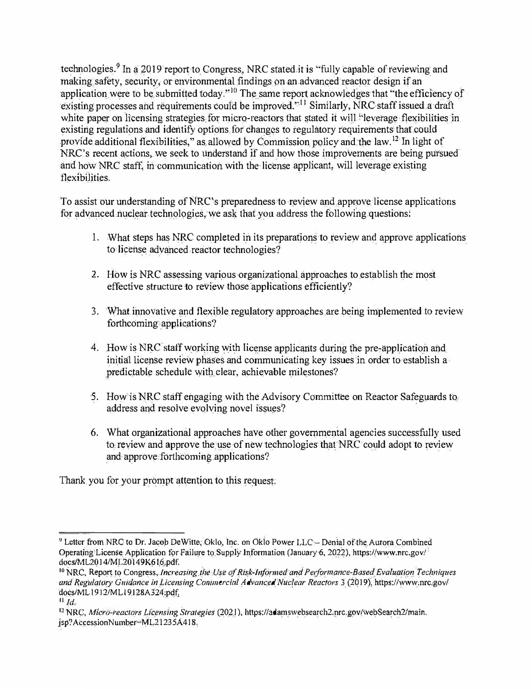technologies.<sup>9</sup> In a 2019 report to Congress, NRC stated it is "fully capable of reviewing and making safety, security, or environmental findings on an advanced reactor design if an application were to be submitted today."<sup>10</sup> The same report acknowledges that "the efficiency of existing processes and requirements could be improved. $^{11}$  Similarly, NRC staff issued a draft white paper on licensing strategies for micro-reactors that stated it will "leverage flexibilities in existing regulations and identify options for changes to regulatory requirements that could provide additional flexibilities," as allowed by Commission policy and the law.  $12$ In light of NRC's recent actions, we seek to understand if and how those improvements are being pursued and how NRC staff, in communication with the license applicant, will leverage existing flexibilities.

To assist our understanding of NRC's preparedness to review and approve license applications for advanced nuclear technologies, we ask that you address the following questions:

- 1. What steps has NRC completed in its preparations to review and approve applications to license advanced reactor technologies?
- 2. How is NRC assessing various organizational approaches to establish the most effective structure to review those applications efficiently?
- 3. What innovative and flexible regulatory approaches are being implemented to review forthcoming applications?
- 4. How is NRC staff working with license applicants during the pre-application and initial license review phases and communicating key issues in order to establish a predictable schedule with clear, achievable milestones?
- 5. How is NRC staff engaging with the Advisory Committee on Reactor Safeguards to address and resolve evolving novel issues?
- 6. What organizational approaches have other governmental agencies successfully used to review and approve the use of new technologies that NRC could adopt to review and approve forthcoming applications?

Thank you for your prompt attention to this request.

<sup>&</sup>lt;sup>9</sup> Letter from NRC to Dr. Jacob DeWitte, Oklo, Inc. on Oklo Power LLC - Denial of the Aurora Combined Operating License Application for Failure to Supply Information (January 6, 2022), https://www.nrc.gov/ docs/ML2014/ML20149K616.pdf.

**<sup>10</sup>**NRC, Report to Congress, *Increasing the Use of Risk-Informed and Pe1formance-Based Evaluation Techniques and Regulatory Guidance in Licensing Commercial Advanced Nuclear Reactors* 3 (2019), https://www.nrc,gov/ docs/ML 1912/ML l 9128A324.pdf,

**<sup>11</sup>***Jd.* 

**<sup>12</sup>**NRC, *Micro-reactors licensing Strategies* (2021), https://adamswebsearch2.nrc.gov/webSearch2/main. jsp? AccessionNumber=ML21235A4 l 8.